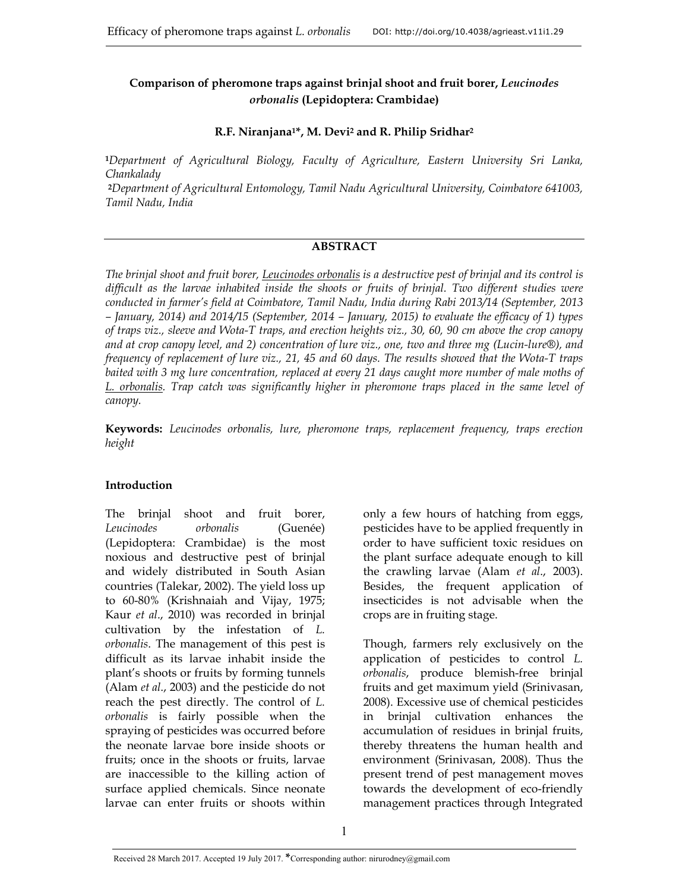# **Comparison of pheromone traps against brinjal shoot and fruit borer,** *Leucinodes orbonalis* **(Lepidoptera: Crambidae)**

#### **R.F. Niranjana1\*, M. Devi2 and R. Philip Sridhar2**

**<sup>1</sup>***Department of Agricultural Biology, Faculty of Agriculture, Eastern University Sri Lanka, Chankalady* 

**<sup>2</sup>***Department of Agricultural Entomology, Tamil Nadu Agricultural University, Coimbatore 641003, Tamil Nadu, India*

#### **ABSTRACT**

*The brinjal shoot and fruit borer, Leucinodes orbonalis is a destructive pest of brinjal and its control is difficult as the larvae inhabited inside the shoots or fruits of brinjal. Two different studies were conducted in farmer's field at Coimbatore, Tamil Nadu, India during Rabi 2013/14 (September, 2013 – January, 2014) and 2014/15 (September, 2014 – January, 2015) to evaluate the efficacy of 1) types of traps viz., sleeve and Wota-T traps, and erection heights viz., 30, 60, 90 cm above the crop canopy and at crop canopy level, and 2) concentration of lure viz., one, two and three mg (Lucin-lure®), and frequency of replacement of lure viz., 21, 45 and 60 days. The results showed that the Wota-T traps baited with 3 mg lure concentration, replaced at every 21 days caught more number of male moths of L. orbonalis. Trap catch was significantly higher in pheromone traps placed in the same level of canopy.* 

**Keywords:** *Leucinodes orbonalis, lure, pheromone traps, replacement frequency, traps erection height*

### **Introduction**

The brinjal shoot and fruit borer, *Leucinodes orbonalis* (Guenée) (Lepidoptera: Crambidae) is the most noxious and destructive pest of brinjal and widely distributed in South Asian countries (Talekar, 2002). The yield loss up to 60-80% (Krishnaiah and Vijay, 1975; Kaur *et al*., 2010) was recorded in brinjal cultivation by the infestation of *L. orbonalis*. The management of this pest is difficult as its larvae inhabit inside the plant's shoots or fruits by forming tunnels (Alam *et al*., 2003) and the pesticide do not reach the pest directly. The control of *L. orbonalis* is fairly possible when the spraying of pesticides was occurred before the neonate larvae bore inside shoots or fruits; once in the shoots or fruits, larvae are inaccessible to the killing action of surface applied chemicals. Since neonate larvae can enter fruits or shoots within only a few hours of hatching from eggs, pesticides have to be applied frequently in order to have sufficient toxic residues on the plant surface adequate enough to kill the crawling larvae (Alam *et al*., 2003). Besides, the frequent application of insecticides is not advisable when the crops are in fruiting stage.

Though, farmers rely exclusively on the application of pesticides to control *L. orbonalis*, produce blemish-free brinjal fruits and get maximum yield (Srinivasan, 2008). Excessive use of chemical pesticides in brinjal cultivation enhances the accumulation of residues in brinjal fruits, thereby threatens the human health and environment (Srinivasan, 2008). Thus the present trend of pest management moves towards the development of eco-friendly management practices through Integrated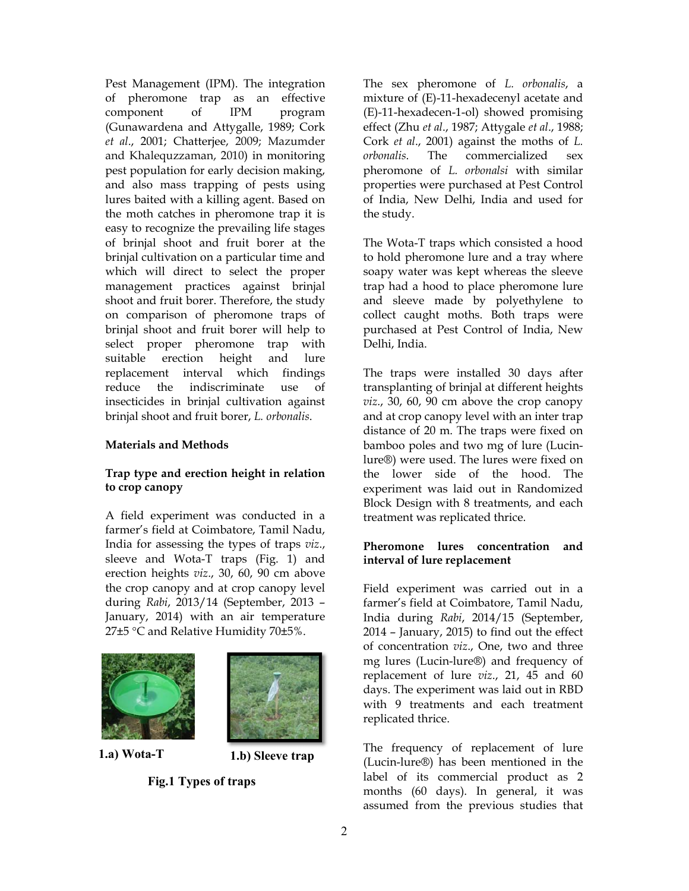Pest Management (IPM). The integration of pheromone trap as an effective component of IPM program (Gunawardena and Attygalle, 1989; Cork *et al*., 2001; Chatterjee, 2009; Mazumder and Khalequzzaman, 2010) in monitoring pest population for early decision making, and also mass trapping of pests using lures baited with a killing agent. Based on the moth catches in pheromone trap it is easy to recognize the prevailing life stages of brinjal shoot and fruit borer at the brinjal cultivation on a particular time and which will direct to select the proper management practices against brinjal shoot and fruit borer. Therefore, the study on comparison of pheromone traps of brinjal shoot and fruit borer will help to select proper pheromone trap with suitable erection height and lure replacement interval which findings reduce the indiscriminate use of insecticides in brinjal cultivation against brinjal shoot and fruit borer, *L. orbonalis*.

### **Materials and Methods**

### **Trap type and erection height in relation to crop canopy**

A field experiment was conducted in a farmer's field at Coimbatore, Tamil Nadu, India for assessing the types of traps *viz*., sleeve and Wota-T traps (Fig. 1) and erection heights *viz*., 30, 60, 90 cm above the crop canopy and at crop canopy level during *Rabi*, 2013/14 (September, 2013 – January, 2014) with an air temperature 27 $\pm$ 5 °C and Relative Humidity 70 $\pm$ 5%.





**1.a)** Wota-T **1.b)** Sleeve trap

**Fig.1 Types of traps** 

The sex pheromone of *L. orbonalis*, a mixture of (E)-11-hexadecenyl acetate and (E)-11-hexadecen-1-ol) showed promising effect (Zhu *et al*., 1987; Attygale *et al*., 1988; Cork *et al*., 2001) against the moths of *L. orbonalis*. The commercialized sex pheromone of *L. orbonalsi* with similar properties were purchased at Pest Control of India, New Delhi, India and used for the study.

The Wota-T traps which consisted a hood to hold pheromone lure and a tray where soapy water was kept whereas the sleeve trap had a hood to place pheromone lure and sleeve made by polyethylene to collect caught moths. Both traps were purchased at Pest Control of India, New Delhi, India.

The traps were installed 30 days after transplanting of brinjal at different heights *viz*., 30, 60, 90 cm above the crop canopy and at crop canopy level with an inter trap distance of 20 m. The traps were fixed on bamboo poles and two mg of lure (Lucinlure®) were used. The lures were fixed on the lower side of the hood. The experiment was laid out in Randomized Block Design with 8 treatments, and each treatment was replicated thrice.

## **Pheromone lures concentration and interval of lure replacement**

Field experiment was carried out in a farmer's field at Coimbatore, Tamil Nadu, India during *Rabi*, 2014/15 (September, 2014 – January, 2015) to find out the effect of concentration *viz*., One, two and three mg lures (Lucin-lure®) and frequency of replacement of lure *viz*., 21, 45 and 60 days. The experiment was laid out in RBD with 9 treatments and each treatment replicated thrice.

The frequency of replacement of lure (Lucin-lure®) has been mentioned in the label of its commercial product as 2 months (60 days). In general, it was assumed from the previous studies that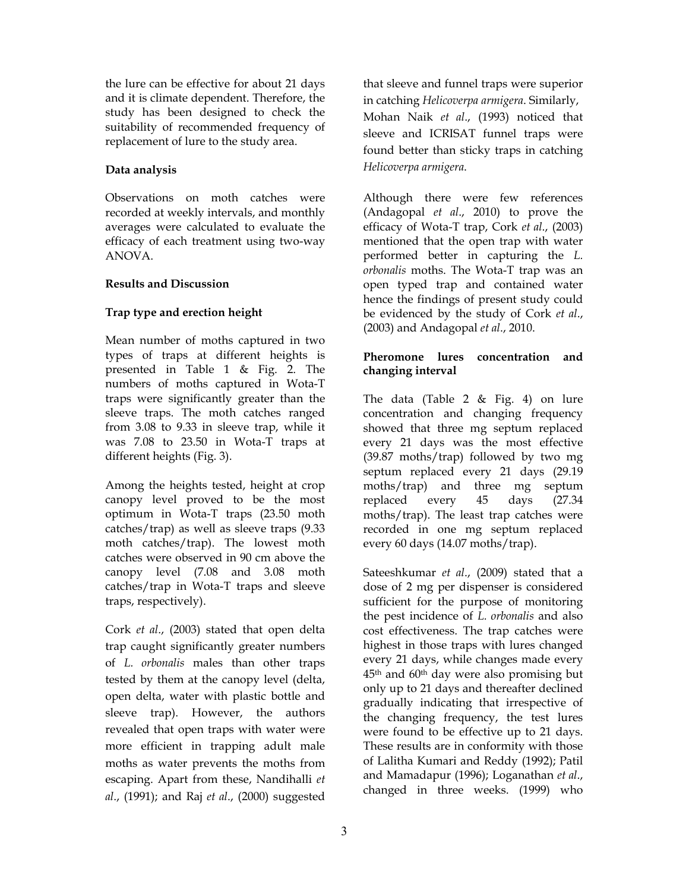the lure can be effective for about 21 days and it is climate dependent. Therefore, the study has been designed to check the suitability of recommended frequency of replacement of lure to the study area.

### **Data analysis**

Observations on moth catches were recorded at weekly intervals, and monthly averages were calculated to evaluate the efficacy of each treatment using two-way ANOVA.

## **Results and Discussion**

# **Trap type and erection height**

Mean number of moths captured in two types of traps at different heights is presented in Table 1 & Fig. 2. The numbers of moths captured in Wota-T traps were significantly greater than the sleeve traps. The moth catches ranged from 3.08 to 9.33 in sleeve trap, while it was 7.08 to 23.50 in Wota-T traps at different heights (Fig. 3).

Among the heights tested, height at crop canopy level proved to be the most optimum in Wota-T traps (23.50 moth catches/trap) as well as sleeve traps (9.33 moth catches/trap). The lowest moth catches were observed in 90 cm above the canopy level (7.08 and 3.08 moth catches/trap in Wota-T traps and sleeve traps, respectively).

Cork *et al*., (2003) stated that open delta trap caught significantly greater numbers of *L. orbonalis* males than other traps tested by them at the canopy level (delta, open delta, water with plastic bottle and sleeve trap). However, the authors revealed that open traps with water were more efficient in trapping adult male moths as water prevents the moths from escaping. Apart from these, Nandihalli *et al*., (1991); and Raj *et al*., (2000) suggested that sleeve and funnel traps were superior in catching *Helicoverpa armigera*. Similarly, Mohan Naik *et al*., (1993) noticed that sleeve and ICRISAT funnel traps were found better than sticky traps in catching *Helicoverpa armigera*.

Although there were few references (Andagopal *et al*., 2010) to prove the efficacy of Wota-T trap, Cork *et al*., (2003) mentioned that the open trap with water performed better in capturing the *L. orbonalis* moths. The Wota-T trap was an open typed trap and contained water hence the findings of present study could be evidenced by the study of Cork *et al*., (2003) and Andagopal *et al*., 2010.

## **Pheromone lures concentration and changing interval**

The data (Table 2 & Fig. 4) on lure concentration and changing frequency showed that three mg septum replaced every 21 days was the most effective (39.87 moths/trap) followed by two mg septum replaced every 21 days (29.19 moths/trap) and three mg septum replaced every 45 days (27.34 moths/trap). The least trap catches were recorded in one mg septum replaced every 60 days (14.07 moths/trap).

Sateeshkumar *et al*., (2009) stated that a dose of 2 mg per dispenser is considered sufficient for the purpose of monitoring the pest incidence of *L. orbonalis* and also cost effectiveness. The trap catches were highest in those traps with lures changed every 21 days, while changes made every 45th and 60th day were also promising but only up to 21 days and thereafter declined gradually indicating that irrespective of the changing frequency, the test lures were found to be effective up to 21 days. These results are in conformity with those of Lalitha Kumari and Reddy (1992); Patil and Mamadapur (1996); Loganathan *et al*., changed in three weeks. (1999) who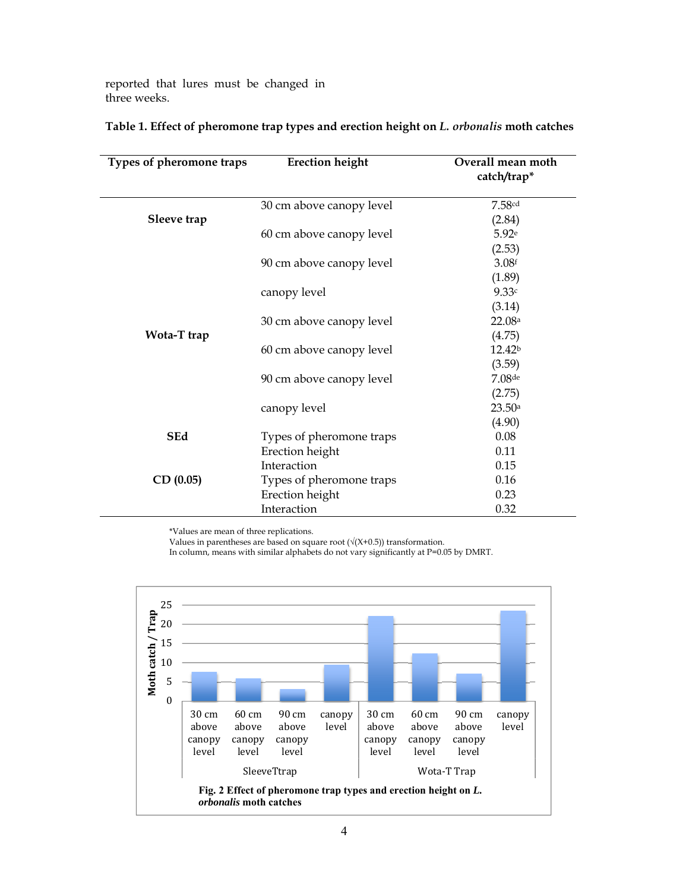reported that lures must be changed in three weeks.

| Types of pheromone traps   | <b>Erection height</b>   | Overall mean moth<br>catch/trap* |
|----------------------------|--------------------------|----------------------------------|
| Sleeve trap<br>Wota-T trap | 30 cm above canopy level | 7.58 <sup>cd</sup>               |
|                            |                          | (2.84)                           |
|                            | 60 cm above canopy level | 5.92e                            |
|                            |                          | (2.53)                           |
|                            | 90 cm above canopy level | 3.08 <sup>f</sup>                |
|                            |                          | (1.89)                           |
|                            | canopy level             | 9.33c                            |
|                            |                          | (3.14)                           |
|                            | 30 cm above canopy level | 22.08a                           |
|                            |                          | (4.75)                           |
|                            | 60 cm above canopy level | 12.42 <sup>b</sup>               |
|                            |                          | (3.59)                           |
|                            | 90 cm above canopy level | $7.08$ de                        |
|                            |                          | (2.75)                           |
|                            | canopy level             | 23.50a                           |
|                            |                          | (4.90)                           |
| <b>SEd</b>                 | Types of pheromone traps | 0.08                             |
| CD(0.05)                   | Erection height          | 0.11                             |
|                            | Interaction              | 0.15                             |
|                            | Types of pheromone traps | 0.16                             |
|                            | Erection height          | 0.23                             |
|                            | Interaction              | 0.32                             |

#### **Table 1. Effect of pheromone trap types and erection height on** *L. orbonalis* **moth catches**

\*Values are mean of three replications.

Values in parentheses are based on square root ( $\sqrt{(X+0.5)}$ ) transformation.

In column, means with similar alphabets do not vary significantly at P=0.05 by DMRT.

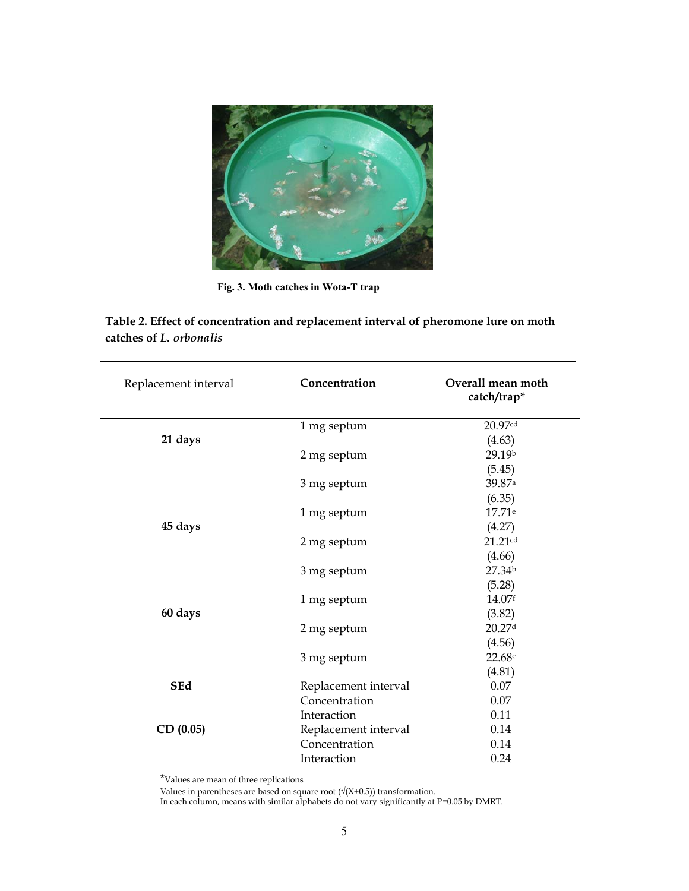

**Fig. 3. Moth catches in Wota-T trap** 

| Table 2. Effect of concentration and replacement interval of pheromone lure on moth |  |
|-------------------------------------------------------------------------------------|--|
| catches of L. <i>orbonalis</i>                                                      |  |

| Replacement interval | Concentration        | Overall mean moth<br>catch/trap* |
|----------------------|----------------------|----------------------------------|
|                      | 1 mg septum          | 20.97cd                          |
| 21 days              |                      | (4.63)                           |
|                      | 2 mg septum          | 29.19b                           |
|                      |                      | (5.45)                           |
|                      | 3 mg septum          | 39.87 <sup>a</sup>               |
|                      |                      | (6.35)                           |
|                      | 1 mg septum          | 17.71 <sup>e</sup>               |
| 45 days              |                      | (4.27)                           |
|                      | 2 mg septum          | 21.21cd                          |
|                      |                      | (4.66)                           |
|                      | 3 mg septum          | 27.34 <sup>b</sup>               |
|                      |                      | (5.28)                           |
|                      | 1 mg septum          | 14.07f                           |
| 60 days              |                      | (3.82)                           |
|                      | 2 mg septum          | 20.27 <sup>d</sup>               |
|                      |                      | (4.56)                           |
|                      | 3 mg septum          | 22.68c                           |
|                      |                      | (4.81)                           |
| <b>SEd</b>           | Replacement interval | 0.07                             |
|                      | Concentration        | 0.07                             |
|                      | Interaction          | 0.11                             |
| CD(0.05)             | Replacement interval | 0.14                             |
|                      | Concentration        | 0.14                             |
|                      | Interaction          | 0.24                             |

\*Values are mean of three replications

Values in parentheses are based on square root  $(\sqrt{(X+0.5)})$  transformation.

In each column, means with similar alphabets do not vary significantly at P=0.05 by DMRT.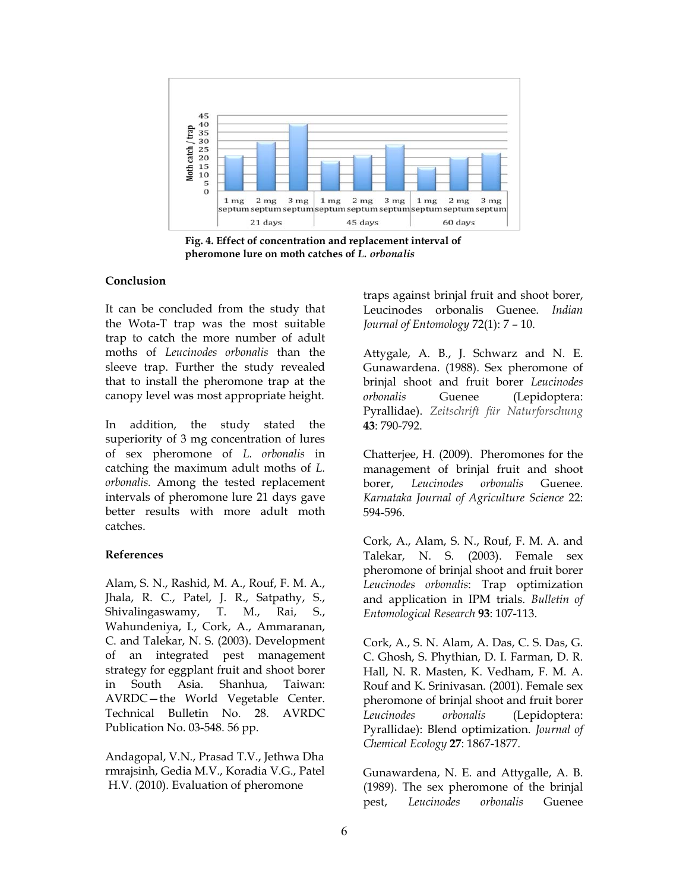

**Fig. 4. Effect of concentration and replacement interval of pheromone lure on moth catches of** *L. orbonalis* 

#### **Conclusion**

It can be concluded from the study that the Wota-T trap was the most suitable trap to catch the more number of adult moths of *Leucinodes orbonalis* than the sleeve trap. Further the study revealed that to install the pheromone trap at the canopy level was most appropriate height.

In addition, the study stated the superiority of 3 mg concentration of lures of sex pheromone of *L. orbonalis* in catching the maximum adult moths of *L. orbonalis.* Among the tested replacement intervals of pheromone lure 21 days gave better results with more adult moth catches.

#### **References**

Alam, S. N., Rashid, M. A., Rouf, F. M. A., Jhala, R. C., Patel, J. R., Satpathy, S., Shivalingaswamy, T. M., Rai, S., Wahundeniya, I., Cork, A., Ammaranan, C. and Talekar, N. S. (2003). Development of an integrated pest management strategy for eggplant fruit and shoot borer in South Asia. Shanhua, Taiwan: AVRDC—the World Vegetable Center. Technical Bulletin No. 28. AVRDC Publication No. 03-548. 56 pp.

Andagopal, V.N., Prasad T.V., Jethwa Dha rmrajsinh, Gedia M.V., Koradia V.G., Patel H.V. (2010). Evaluation of pheromone

traps against brinjal fruit and shoot borer, Leucinodes orbonalis Guenee. *Indian Journal of Entomology* 72(1): 7 – 10.

Attygale, A. B., J. Schwarz and N. E. Gunawardena. (1988). Sex pheromone of brinjal shoot and fruit borer *Leucinodes orbonalis* Guenee (Lepidoptera: Pyrallidae). *Zeitschrift für Naturforschung* **43**: 790-792.

Chatterjee, H. (2009). Pheromones for the management of brinjal fruit and shoot borer, *Leucinodes orbonalis* Guenee. *Karnataka Journal of Agriculture Science* 22: 594-596.

Cork, A., Alam, S. N., Rouf, F. M. A. and Talekar, N. S. (2003). Female sex pheromone of brinjal shoot and fruit borer *Leucinodes orbonalis*: Trap optimization and application in IPM trials. *Bulletin of Entomological Research* **93**: 107-113.

Cork, A., S. N. Alam, A. Das, C. S. Das, G. C. Ghosh, S. Phythian, D. I. Farman, D. R. Hall, N. R. Masten, K. Vedham, F. M. A. Rouf and K. Srinivasan. (2001). Female sex pheromone of brinjal shoot and fruit borer *Leucinodes orbonalis* (Lepidoptera: Pyrallidae): Blend optimization. *Journal of Chemical Ecology* **27**: 1867-1877.

Gunawardena, N. E. and Attygalle, A. B. (1989). The sex pheromone of the brinjal pest, *Leucinodes orbonalis* Guenee